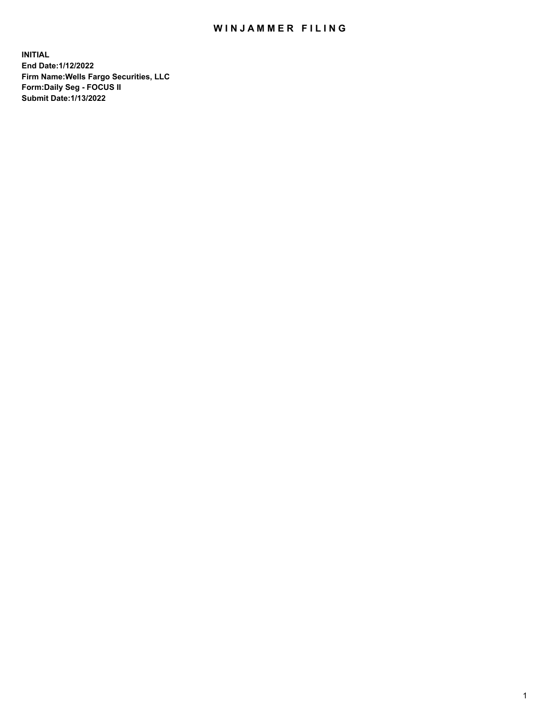## WIN JAMMER FILING

**INITIAL End Date:1/12/2022 Firm Name:Wells Fargo Securities, LLC Form:Daily Seg - FOCUS II Submit Date:1/13/2022**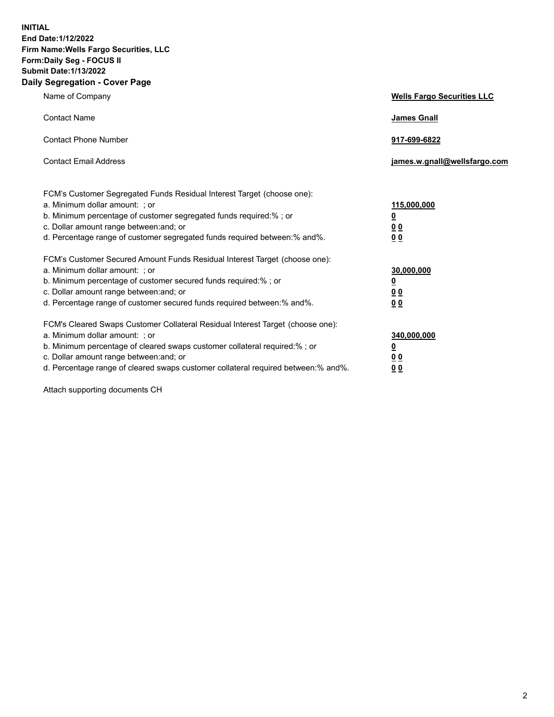**INITIAL End Date:1/12/2022 Firm Name:Wells Fargo Securities, LLC Form:Daily Seg - FOCUS II Submit Date:1/13/2022 Daily Segregation - Cover Page**

| Name of Company                                                                                                                                                                                                                                                                                                                | <b>Wells Fargo Securities LLC</b>                          |
|--------------------------------------------------------------------------------------------------------------------------------------------------------------------------------------------------------------------------------------------------------------------------------------------------------------------------------|------------------------------------------------------------|
| <b>Contact Name</b>                                                                                                                                                                                                                                                                                                            | <b>James Gnall</b>                                         |
| <b>Contact Phone Number</b>                                                                                                                                                                                                                                                                                                    | 917-699-6822                                               |
| <b>Contact Email Address</b>                                                                                                                                                                                                                                                                                                   | james.w.gnall@wellsfargo.com                               |
| FCM's Customer Segregated Funds Residual Interest Target (choose one):<br>a. Minimum dollar amount: ; or<br>b. Minimum percentage of customer segregated funds required:% ; or<br>c. Dollar amount range between: and; or<br>d. Percentage range of customer segregated funds required between:% and%.                         | 115,000,000<br><u>0</u><br>0 <sub>0</sub><br>00            |
| FCM's Customer Secured Amount Funds Residual Interest Target (choose one):<br>a. Minimum dollar amount: ; or<br>b. Minimum percentage of customer secured funds required:%; or<br>c. Dollar amount range between: and; or<br>d. Percentage range of customer secured funds required between:% and%.                            | 30,000,000<br><u>0</u><br>0 <sub>0</sub><br>0 <sub>0</sub> |
| FCM's Cleared Swaps Customer Collateral Residual Interest Target (choose one):<br>a. Minimum dollar amount: ; or<br>b. Minimum percentage of cleared swaps customer collateral required:% ; or<br>c. Dollar amount range between: and; or<br>d. Percentage range of cleared swaps customer collateral required between:% and%. | 340,000,000<br><u>0</u><br>00<br>00                        |

Attach supporting documents CH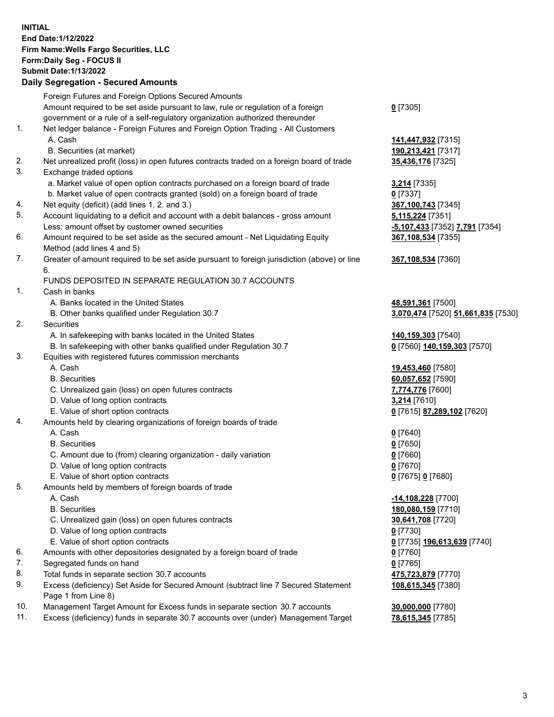**INITIAL End Date:1/12/2022 Firm Name:Wells Fargo Securities, LLC Form:Daily Seg - FOCUS II Submit Date:1/13/2022**

## **Daily Segregation - Secured Amounts**

|     | Foreign Futures and Foreign Options Secured Amounts                                         |                                    |
|-----|---------------------------------------------------------------------------------------------|------------------------------------|
|     | Amount required to be set aside pursuant to law, rule or regulation of a foreign            | $0$ [7305]                         |
|     | government or a rule of a self-regulatory organization authorized thereunder                |                                    |
| 1.  | Net ledger balance - Foreign Futures and Foreign Option Trading - All Customers             |                                    |
|     | A. Cash                                                                                     | 141,447,932 [7315]                 |
|     | B. Securities (at market)                                                                   | 190,213,421 [7317]                 |
| 2.  | Net unrealized profit (loss) in open futures contracts traded on a foreign board of trade   | 35,436,176 [7325]                  |
| 3.  | Exchange traded options                                                                     |                                    |
|     | a. Market value of open option contracts purchased on a foreign board of trade              | 3,214 [7335]                       |
|     | b. Market value of open contracts granted (sold) on a foreign board of trade                | $0$ [7337]                         |
| 4.  | Net equity (deficit) (add lines 1. 2. and 3.)                                               | 367,100,743 [7345]                 |
| 5.  | Account liquidating to a deficit and account with a debit balances - gross amount           | 5,115,224 [7351]                   |
|     | Less: amount offset by customer owned securities                                            | -5,107,433 [7352] 7,791 [7354]     |
| 6.  | Amount required to be set aside as the secured amount - Net Liquidating Equity              | 367,108,534 [7355]                 |
|     | Method (add lines 4 and 5)                                                                  |                                    |
| 7.  | Greater of amount required to be set aside pursuant to foreign jurisdiction (above) or line | 367,108,534 [7360]                 |
|     | 6.                                                                                          |                                    |
|     | FUNDS DEPOSITED IN SEPARATE REGULATION 30.7 ACCOUNTS                                        |                                    |
| 1.  | Cash in banks                                                                               |                                    |
|     | A. Banks located in the United States                                                       | 48,591,361 [7500]                  |
|     | B. Other banks qualified under Regulation 30.7                                              | 3,070,474 [7520] 51,661,835 [7530] |
| 2.  | Securities                                                                                  |                                    |
|     | A. In safekeeping with banks located in the United States                                   | 140,159,303 [7540]                 |
|     | B. In safekeeping with other banks qualified under Regulation 30.7                          | 0 [7560] 140,159,303 [7570]        |
| 3.  | Equities with registered futures commission merchants                                       |                                    |
|     | A. Cash                                                                                     | 19,453,460 [7580]                  |
|     | <b>B.</b> Securities                                                                        | 60,057,652 [7590]                  |
|     | C. Unrealized gain (loss) on open futures contracts                                         | 7,774,776 [7600]                   |
|     | D. Value of long option contracts                                                           | 3,214 [7610]                       |
|     | E. Value of short option contracts                                                          | 0 [7615] 87,289,102 [7620]         |
| 4.  | Amounts held by clearing organizations of foreign boards of trade                           |                                    |
|     | A. Cash                                                                                     | $0$ [7640]                         |
|     | <b>B.</b> Securities                                                                        | $0$ [7650]                         |
|     | C. Amount due to (from) clearing organization - daily variation                             | $0$ [7660]                         |
|     | D. Value of long option contracts                                                           | $0$ [7670]                         |
|     | E. Value of short option contracts                                                          | 0 [7675] 0 [7680]                  |
| 5.  | Amounts held by members of foreign boards of trade                                          |                                    |
|     | A. Cash                                                                                     | -14,108,228 [7700]                 |
|     | <b>B.</b> Securities                                                                        | 180,080,159 [7710]                 |
|     | C. Unrealized gain (loss) on open futures contracts                                         | 30,641,708 [7720]                  |
|     | D. Value of long option contracts                                                           | $0$ [7730]                         |
|     | E. Value of short option contracts                                                          | 0 [7735] 196,613,639 [7740]        |
| 6.  | Amounts with other depositories designated by a foreign board of trade                      | 0 [7760]                           |
| 7.  | Segregated funds on hand                                                                    | $0$ [7765]                         |
| 8.  | Total funds in separate section 30.7 accounts                                               | 475,723,879 [7770]                 |
| 9.  | Excess (deficiency) Set Aside for Secured Amount (subtract line 7 Secured Statement         | 108,615,345 [7380]                 |
|     | Page 1 from Line 8)                                                                         |                                    |
| 10. | Management Target Amount for Excess funds in separate section 30.7 accounts                 | 30,000,000 [7780]                  |
| 11. | Excess (deficiency) funds in separate 30.7 accounts over (under) Management Target          | 78,615,345 [7785]                  |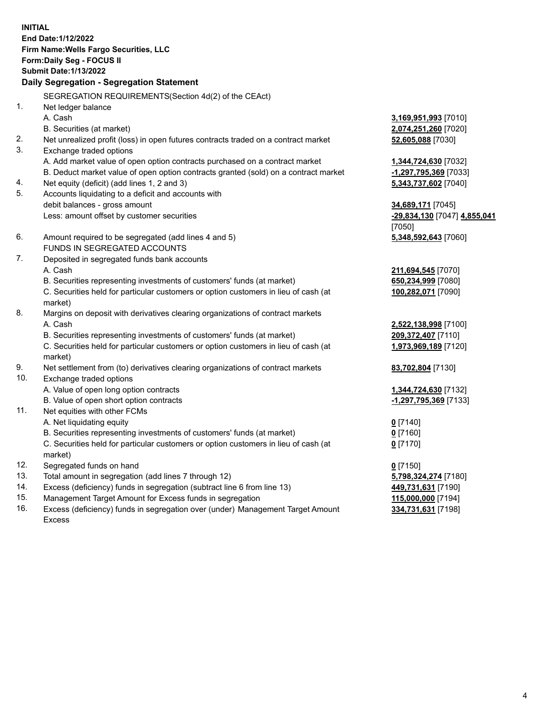**INITIAL End Date:1/12/2022 Firm Name:Wells Fargo Securities, LLC Form:Daily Seg - FOCUS II Submit Date:1/13/2022 Daily Segregation - Segregation Statement** SEGREGATION REQUIREMENTS(Section 4d(2) of the CEAct) 1. Net ledger balance

A. Cash **3,169,951,993** [7010] B. Securities (at market) **2,074,251,260** [7020] 2. Net unrealized profit (loss) in open futures contracts traded on a contract market **52,605,088** [7030] 3. Exchange traded options A. Add market value of open option contracts purchased on a contract market **1,344,724,630** [7032] B. Deduct market value of open option contracts granted (sold) on a contract market **-1,297,795,369** [7033] 4. Net equity (deficit) (add lines 1, 2 and 3) **5,343,737,602** [7040] 5. Accounts liquidating to a deficit and accounts with debit balances - gross amount **34,689,171** [7045] Less: amount offset by customer securities **-29,834,130** [7047] **4,855,041** [7050] 6. Amount required to be segregated (add lines 4 and 5) **5,348,592,643** [7060] FUNDS IN SEGREGATED ACCOUNTS 7. Deposited in segregated funds bank accounts A. Cash **211,694,545** [7070] B. Securities representing investments of customers' funds (at market) **650,234,999** [7080] C. Securities held for particular customers or option customers in lieu of cash (at market) **100,282,071** [7090] 8. Margins on deposit with derivatives clearing organizations of contract markets A. Cash **2,522,138,998** [7100] B. Securities representing investments of customers' funds (at market) **209,372,407** [7110] C. Securities held for particular customers or option customers in lieu of cash (at market) **1,973,969,189** [7120] 9. Net settlement from (to) derivatives clearing organizations of contract markets **83,702,804** [7130] 10. Exchange traded options A. Value of open long option contracts **1,344,724,630** [7132] B. Value of open short option contracts **-1,297,795,369** [7133] 11. Net equities with other FCMs A. Net liquidating equity **0** [7140] B. Securities representing investments of customers' funds (at market) **0** [7160] C. Securities held for particular customers or option customers in lieu of cash (at market) **0** [7170] 12. Segregated funds on hand **0** [7150] 13. Total amount in segregation (add lines 7 through 12) **5,798,324,274** [7180] 14. Excess (deficiency) funds in segregation (subtract line 6 from line 13) **449,731,631** [7190] 15. Management Target Amount for Excess funds in segregation **115,000,000** [7194] 16. Excess (deficiency) funds in segregation over (under) Management Target Amount Excess **334,731,631** [7198]